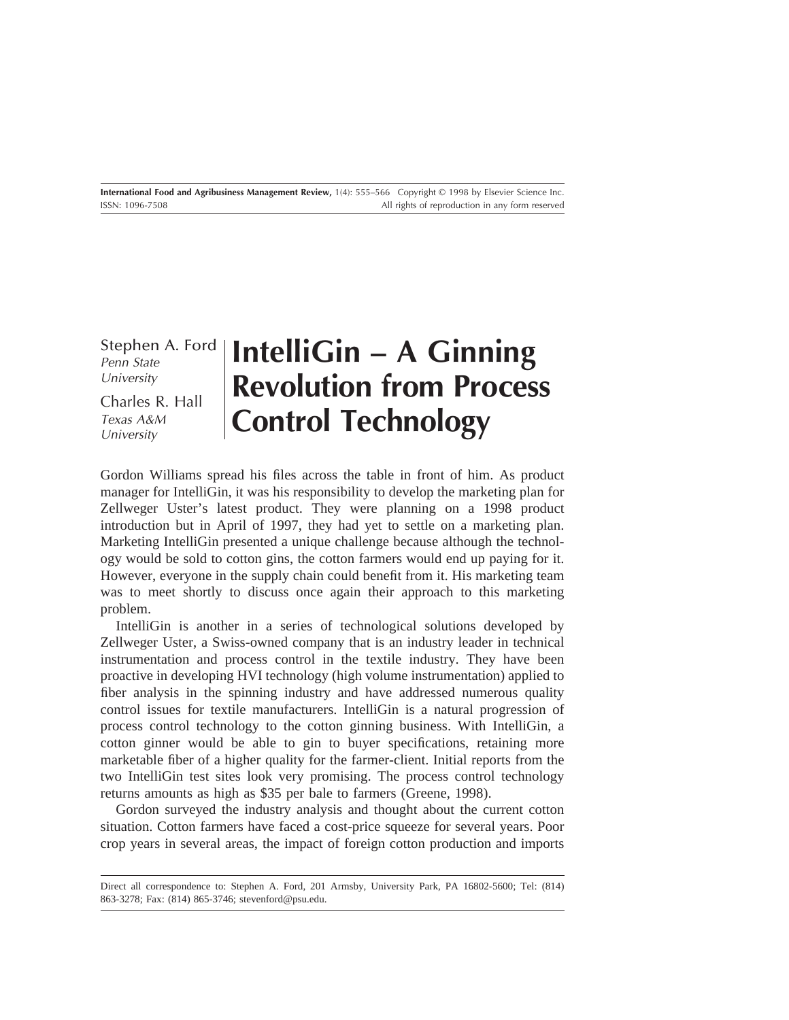Stephen A. Ford Penn State University

Charles R. Hall Texas A&M University

# **IntelliGin – A Ginning Revolution from Process Control Technology**

Gordon Williams spread his files across the table in front of him. As product manager for IntelliGin, it was his responsibility to develop the marketing plan for Zellweger Uster's latest product. They were planning on a 1998 product introduction but in April of 1997, they had yet to settle on a marketing plan. Marketing IntelliGin presented a unique challenge because although the technology would be sold to cotton gins, the cotton farmers would end up paying for it. However, everyone in the supply chain could benefit from it. His marketing team was to meet shortly to discuss once again their approach to this marketing problem.

IntelliGin is another in a series of technological solutions developed by Zellweger Uster, a Swiss-owned company that is an industry leader in technical instrumentation and process control in the textile industry. They have been proactive in developing HVI technology (high volume instrumentation) applied to fiber analysis in the spinning industry and have addressed numerous quality control issues for textile manufacturers. IntelliGin is a natural progression of process control technology to the cotton ginning business. With IntelliGin, a cotton ginner would be able to gin to buyer specifications, retaining more marketable fiber of a higher quality for the farmer-client. Initial reports from the two IntelliGin test sites look very promising. The process control technology returns amounts as high as \$35 per bale to farmers (Greene, 1998).

Gordon surveyed the industry analysis and thought about the current cotton situation. Cotton farmers have faced a cost-price squeeze for several years. Poor crop years in several areas, the impact of foreign cotton production and imports

Direct all correspondence to: Stephen A. Ford, 201 Armsby, University Park, PA 16802-5600; Tel: (814) 863-3278; Fax: (814) 865-3746; stevenford@psu.edu.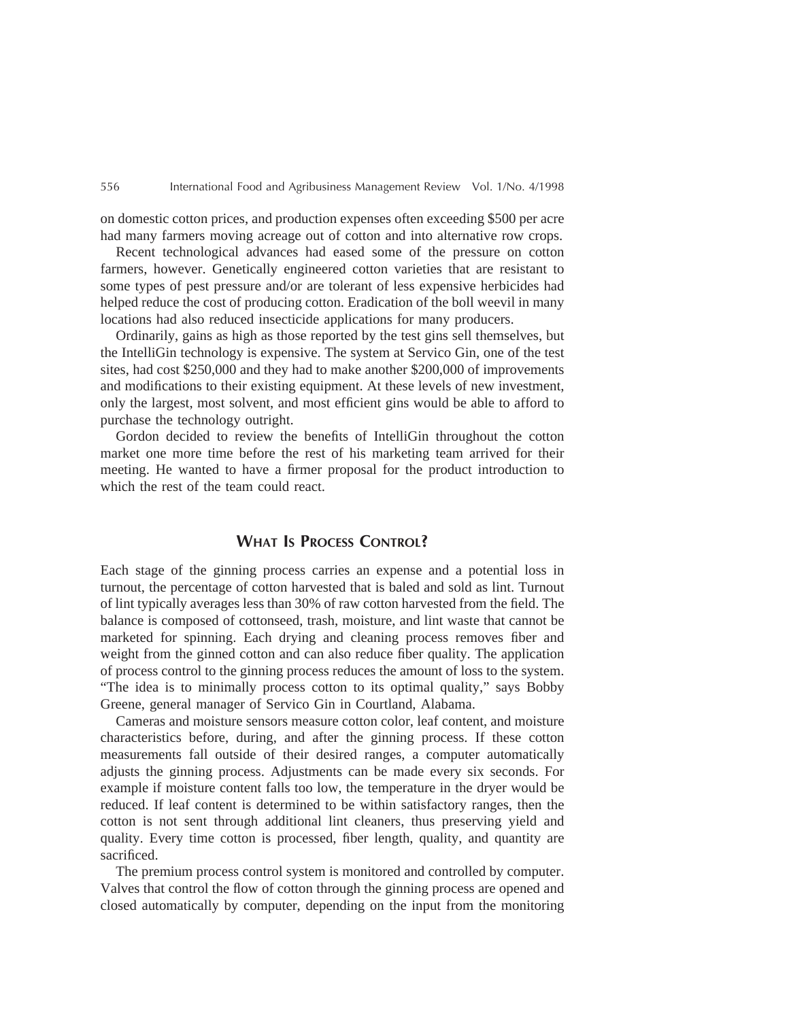on domestic cotton prices, and production expenses often exceeding \$500 per acre had many farmers moving acreage out of cotton and into alternative row crops.

Recent technological advances had eased some of the pressure on cotton farmers, however. Genetically engineered cotton varieties that are resistant to some types of pest pressure and/or are tolerant of less expensive herbicides had helped reduce the cost of producing cotton. Eradication of the boll weevil in many locations had also reduced insecticide applications for many producers.

Ordinarily, gains as high as those reported by the test gins sell themselves, but the IntelliGin technology is expensive. The system at Servico Gin, one of the test sites, had cost \$250,000 and they had to make another \$200,000 of improvements and modifications to their existing equipment. At these levels of new investment, only the largest, most solvent, and most efficient gins would be able to afford to purchase the technology outright.

Gordon decided to review the benefits of IntelliGin throughout the cotton market one more time before the rest of his marketing team arrived for their meeting. He wanted to have a firmer proposal for the product introduction to which the rest of the team could react.

# **WHAT IS PROCESS CONTROL?**

Each stage of the ginning process carries an expense and a potential loss in turnout, the percentage of cotton harvested that is baled and sold as lint. Turnout of lint typically averages less than 30% of raw cotton harvested from the field. The balance is composed of cottonseed, trash, moisture, and lint waste that cannot be marketed for spinning. Each drying and cleaning process removes fiber and weight from the ginned cotton and can also reduce fiber quality. The application of process control to the ginning process reduces the amount of loss to the system. "The idea is to minimally process cotton to its optimal quality," says Bobby Greene, general manager of Servico Gin in Courtland, Alabama.

Cameras and moisture sensors measure cotton color, leaf content, and moisture characteristics before, during, and after the ginning process. If these cotton measurements fall outside of their desired ranges, a computer automatically adjusts the ginning process. Adjustments can be made every six seconds. For example if moisture content falls too low, the temperature in the dryer would be reduced. If leaf content is determined to be within satisfactory ranges, then the cotton is not sent through additional lint cleaners, thus preserving yield and quality. Every time cotton is processed, fiber length, quality, and quantity are sacrificed.

The premium process control system is monitored and controlled by computer. Valves that control the flow of cotton through the ginning process are opened and closed automatically by computer, depending on the input from the monitoring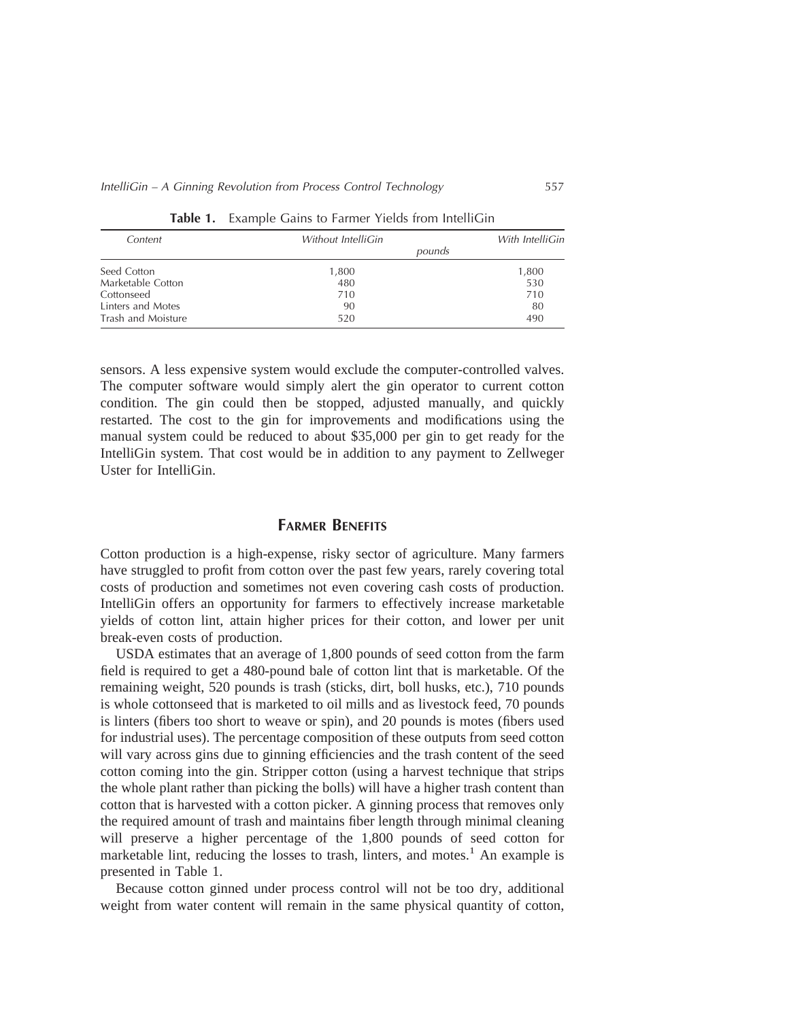| Content            | Without IntelliGin | With IntelliGin |
|--------------------|--------------------|-----------------|
|                    | pounds             |                 |
| Seed Cotton        | 1,800              | 1,800           |
| Marketable Cotton  | 480                | 530             |
| Cottonseed         | 710                | 710             |
| Linters and Motes  | 90                 | 80              |
| Trash and Moisture | 520                | 490             |

**Table 1.** Example Gains to Farmer Yields from IntelliGin

sensors. A less expensive system would exclude the computer-controlled valves. The computer software would simply alert the gin operator to current cotton condition. The gin could then be stopped, adjusted manually, and quickly restarted. The cost to the gin for improvements and modifications using the manual system could be reduced to about \$35,000 per gin to get ready for the IntelliGin system. That cost would be in addition to any payment to Zellweger Uster for IntelliGin.

#### **FARMER BENEFITS**

Cotton production is a high-expense, risky sector of agriculture. Many farmers have struggled to profit from cotton over the past few years, rarely covering total costs of production and sometimes not even covering cash costs of production. IntelliGin offers an opportunity for farmers to effectively increase marketable yields of cotton lint, attain higher prices for their cotton, and lower per unit break-even costs of production.

USDA estimates that an average of 1,800 pounds of seed cotton from the farm field is required to get a 480-pound bale of cotton lint that is marketable. Of the remaining weight, 520 pounds is trash (sticks, dirt, boll husks, etc.), 710 pounds is whole cottonseed that is marketed to oil mills and as livestock feed, 70 pounds is linters (fibers too short to weave or spin), and 20 pounds is motes (fibers used for industrial uses). The percentage composition of these outputs from seed cotton will vary across gins due to ginning efficiencies and the trash content of the seed cotton coming into the gin. Stripper cotton (using a harvest technique that strips the whole plant rather than picking the bolls) will have a higher trash content than cotton that is harvested with a cotton picker. A ginning process that removes only the required amount of trash and maintains fiber length through minimal cleaning will preserve a higher percentage of the 1,800 pounds of seed cotton for marketable lint, reducing the losses to trash, linters, and motes.<sup>1</sup> An example is presented in Table 1.

Because cotton ginned under process control will not be too dry, additional weight from water content will remain in the same physical quantity of cotton,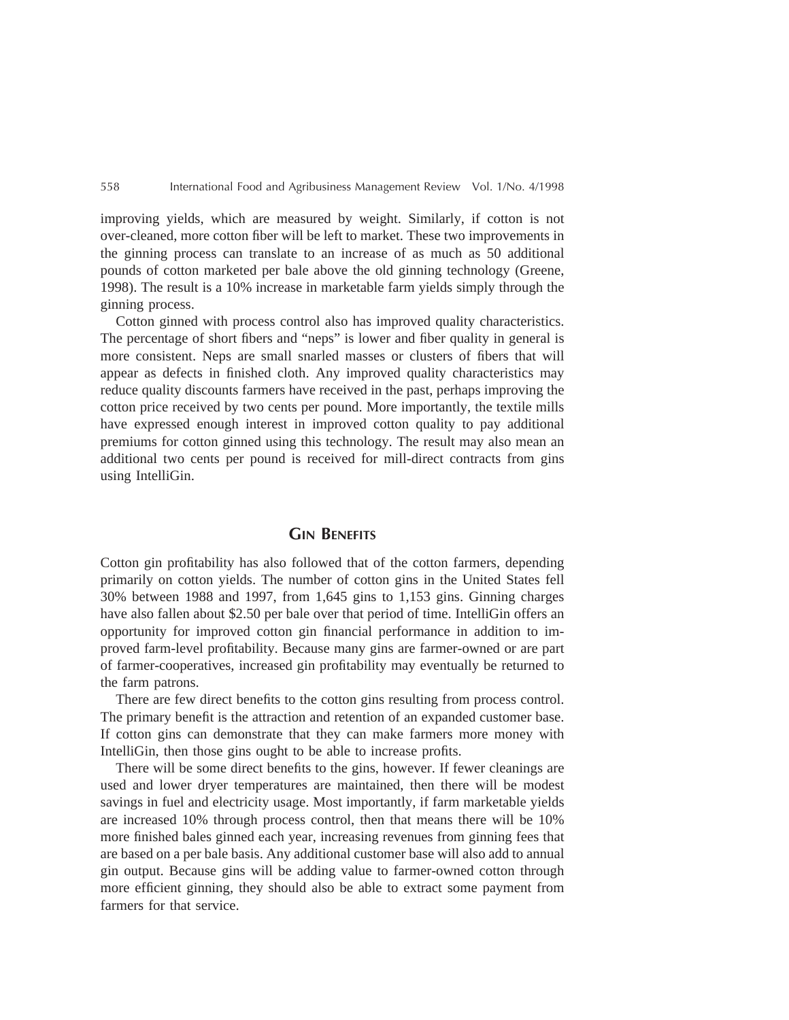improving yields, which are measured by weight. Similarly, if cotton is not over-cleaned, more cotton fiber will be left to market. These two improvements in the ginning process can translate to an increase of as much as 50 additional pounds of cotton marketed per bale above the old ginning technology (Greene, 1998). The result is a 10% increase in marketable farm yields simply through the ginning process.

Cotton ginned with process control also has improved quality characteristics. The percentage of short fibers and "neps" is lower and fiber quality in general is more consistent. Neps are small snarled masses or clusters of fibers that will appear as defects in finished cloth. Any improved quality characteristics may reduce quality discounts farmers have received in the past, perhaps improving the cotton price received by two cents per pound. More importantly, the textile mills have expressed enough interest in improved cotton quality to pay additional premiums for cotton ginned using this technology. The result may also mean an additional two cents per pound is received for mill-direct contracts from gins using IntelliGin.

# **GIN BENEFITS**

Cotton gin profitability has also followed that of the cotton farmers, depending primarily on cotton yields. The number of cotton gins in the United States fell 30% between 1988 and 1997, from 1,645 gins to 1,153 gins. Ginning charges have also fallen about \$2.50 per bale over that period of time. IntelliGin offers an opportunity for improved cotton gin financial performance in addition to improved farm-level profitability. Because many gins are farmer-owned or are part of farmer-cooperatives, increased gin profitability may eventually be returned to the farm patrons.

There are few direct benefits to the cotton gins resulting from process control. The primary benefit is the attraction and retention of an expanded customer base. If cotton gins can demonstrate that they can make farmers more money with IntelliGin, then those gins ought to be able to increase profits.

There will be some direct benefits to the gins, however. If fewer cleanings are used and lower dryer temperatures are maintained, then there will be modest savings in fuel and electricity usage. Most importantly, if farm marketable yields are increased 10% through process control, then that means there will be 10% more finished bales ginned each year, increasing revenues from ginning fees that are based on a per bale basis. Any additional customer base will also add to annual gin output. Because gins will be adding value to farmer-owned cotton through more efficient ginning, they should also be able to extract some payment from farmers for that service.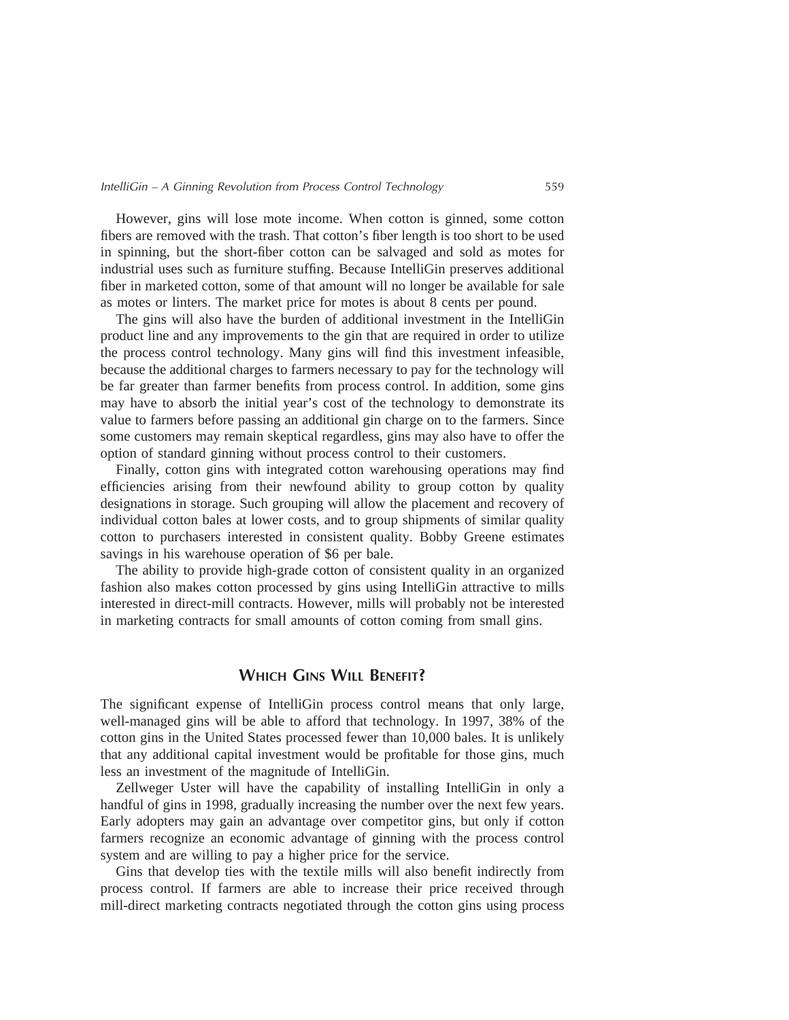However, gins will lose mote income. When cotton is ginned, some cotton fibers are removed with the trash. That cotton's fiber length is too short to be used in spinning, but the short-fiber cotton can be salvaged and sold as motes for industrial uses such as furniture stuffing. Because IntelliGin preserves additional fiber in marketed cotton, some of that amount will no longer be available for sale as motes or linters. The market price for motes is about 8 cents per pound.

The gins will also have the burden of additional investment in the IntelliGin product line and any improvements to the gin that are required in order to utilize the process control technology. Many gins will find this investment infeasible, because the additional charges to farmers necessary to pay for the technology will be far greater than farmer benefits from process control. In addition, some gins may have to absorb the initial year's cost of the technology to demonstrate its value to farmers before passing an additional gin charge on to the farmers. Since some customers may remain skeptical regardless, gins may also have to offer the option of standard ginning without process control to their customers.

Finally, cotton gins with integrated cotton warehousing operations may find efficiencies arising from their newfound ability to group cotton by quality designations in storage. Such grouping will allow the placement and recovery of individual cotton bales at lower costs, and to group shipments of similar quality cotton to purchasers interested in consistent quality. Bobby Greene estimates savings in his warehouse operation of \$6 per bale.

The ability to provide high-grade cotton of consistent quality in an organized fashion also makes cotton processed by gins using IntelliGin attractive to mills interested in direct-mill contracts. However, mills will probably not be interested in marketing contracts for small amounts of cotton coming from small gins.

### **WHICH GINS WILL BENEFIT?**

The significant expense of IntelliGin process control means that only large, well-managed gins will be able to afford that technology. In 1997, 38% of the cotton gins in the United States processed fewer than 10,000 bales. It is unlikely that any additional capital investment would be profitable for those gins, much less an investment of the magnitude of IntelliGin.

Zellweger Uster will have the capability of installing IntelliGin in only a handful of gins in 1998, gradually increasing the number over the next few years. Early adopters may gain an advantage over competitor gins, but only if cotton farmers recognize an economic advantage of ginning with the process control system and are willing to pay a higher price for the service.

Gins that develop ties with the textile mills will also benefit indirectly from process control. If farmers are able to increase their price received through mill-direct marketing contracts negotiated through the cotton gins using process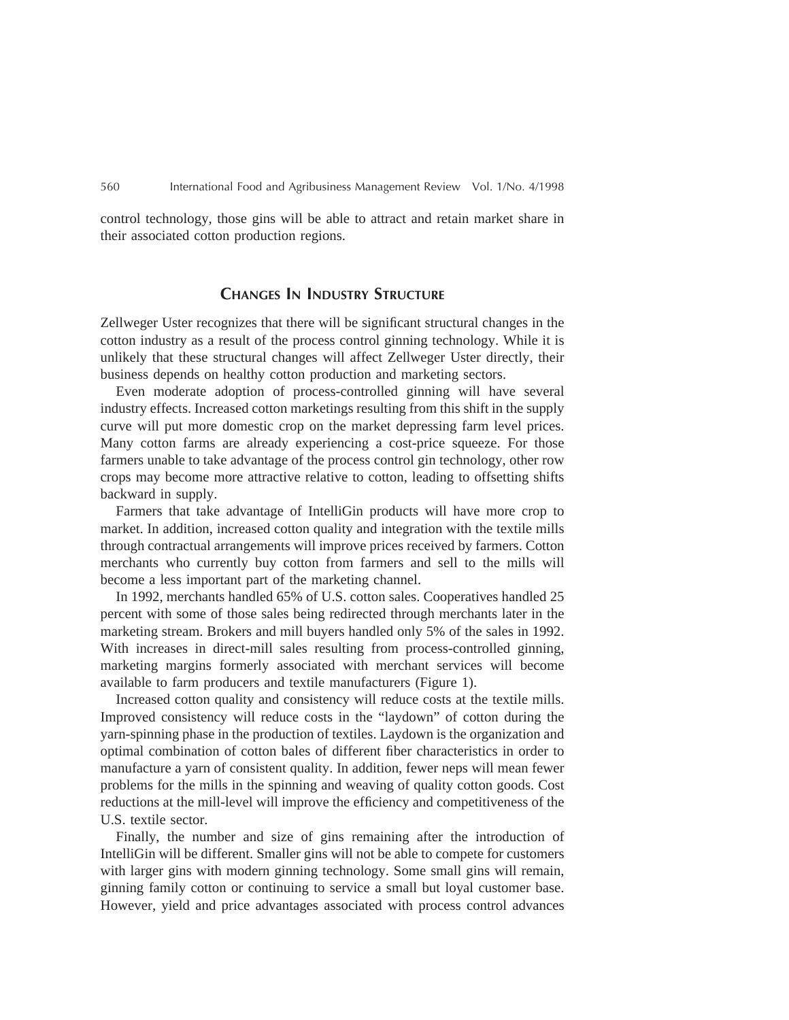control technology, those gins will be able to attract and retain market share in their associated cotton production regions.

#### **CHANGES IN INDUSTRY STRUCTURE**

Zellweger Uster recognizes that there will be significant structural changes in the cotton industry as a result of the process control ginning technology. While it is unlikely that these structural changes will affect Zellweger Uster directly, their business depends on healthy cotton production and marketing sectors.

Even moderate adoption of process-controlled ginning will have several industry effects. Increased cotton marketings resulting from this shift in the supply curve will put more domestic crop on the market depressing farm level prices. Many cotton farms are already experiencing a cost-price squeeze. For those farmers unable to take advantage of the process control gin technology, other row crops may become more attractive relative to cotton, leading to offsetting shifts backward in supply.

Farmers that take advantage of IntelliGin products will have more crop to market. In addition, increased cotton quality and integration with the textile mills through contractual arrangements will improve prices received by farmers. Cotton merchants who currently buy cotton from farmers and sell to the mills will become a less important part of the marketing channel.

In 1992, merchants handled 65% of U.S. cotton sales. Cooperatives handled 25 percent with some of those sales being redirected through merchants later in the marketing stream. Brokers and mill buyers handled only 5% of the sales in 1992. With increases in direct-mill sales resulting from process-controlled ginning, marketing margins formerly associated with merchant services will become available to farm producers and textile manufacturers (Figure 1).

Increased cotton quality and consistency will reduce costs at the textile mills. Improved consistency will reduce costs in the "laydown" of cotton during the yarn-spinning phase in the production of textiles. Laydown is the organization and optimal combination of cotton bales of different fiber characteristics in order to manufacture a yarn of consistent quality. In addition, fewer neps will mean fewer problems for the mills in the spinning and weaving of quality cotton goods. Cost reductions at the mill-level will improve the efficiency and competitiveness of the U.S. textile sector.

Finally, the number and size of gins remaining after the introduction of IntelliGin will be different. Smaller gins will not be able to compete for customers with larger gins with modern ginning technology. Some small gins will remain, ginning family cotton or continuing to service a small but loyal customer base. However, yield and price advantages associated with process control advances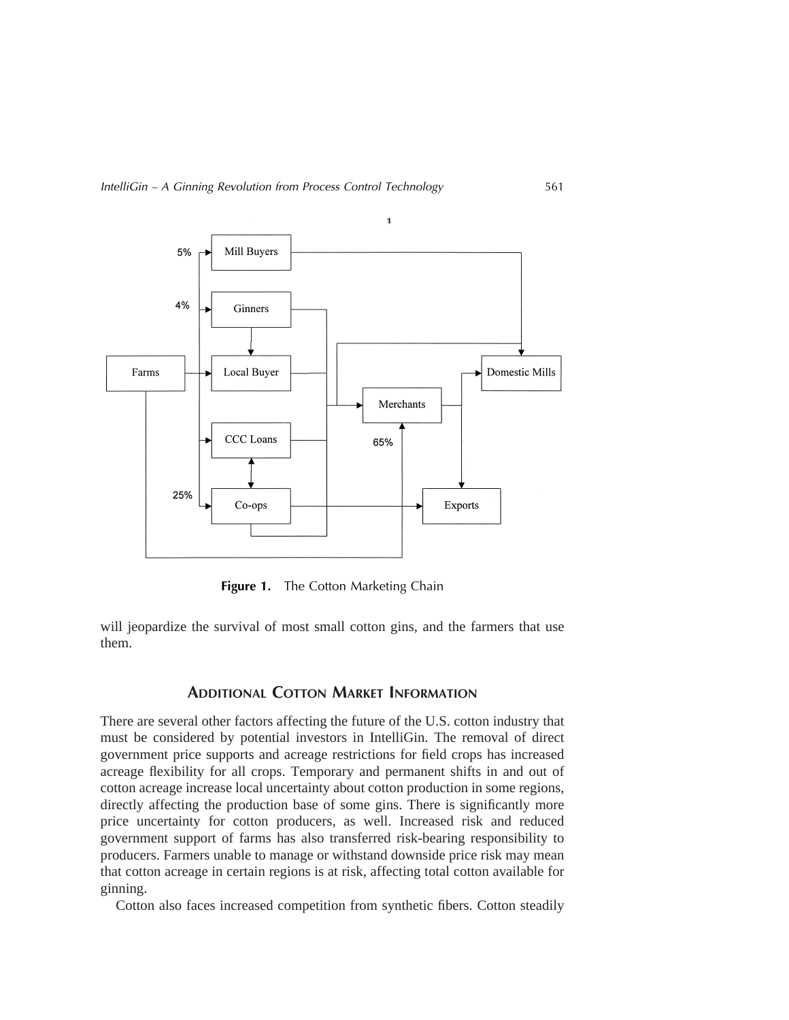

Figure 1. The Cotton Marketing Chain

will jeopardize the survival of most small cotton gins, and the farmers that use them.

## **ADDITIONAL COTTON MARKET INFORMATION**

There are several other factors affecting the future of the U.S. cotton industry that must be considered by potential investors in IntelliGin. The removal of direct government price supports and acreage restrictions for field crops has increased acreage flexibility for all crops. Temporary and permanent shifts in and out of cotton acreage increase local uncertainty about cotton production in some regions, directly affecting the production base of some gins. There is significantly more price uncertainty for cotton producers, as well. Increased risk and reduced government support of farms has also transferred risk-bearing responsibility to producers. Farmers unable to manage or withstand downside price risk may mean that cotton acreage in certain regions is at risk, affecting total cotton available for ginning.

Cotton also faces increased competition from synthetic fibers. Cotton steadily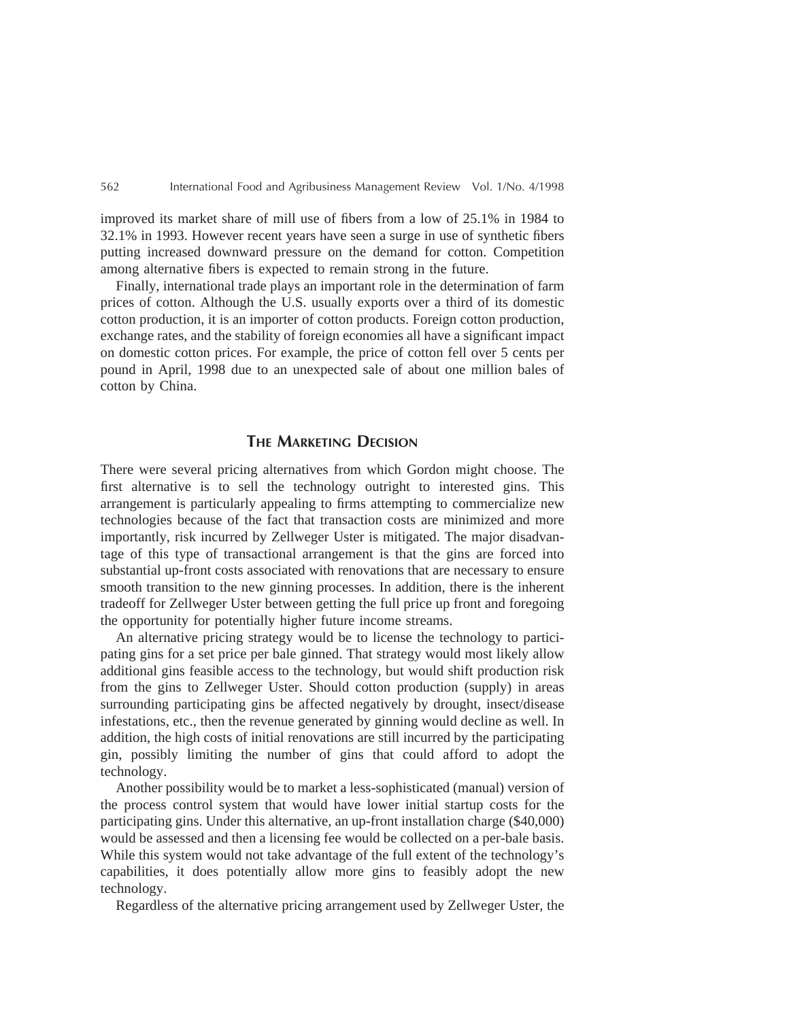improved its market share of mill use of fibers from a low of 25.1% in 1984 to 32.1% in 1993. However recent years have seen a surge in use of synthetic fibers putting increased downward pressure on the demand for cotton. Competition among alternative fibers is expected to remain strong in the future.

Finally, international trade plays an important role in the determination of farm prices of cotton. Although the U.S. usually exports over a third of its domestic cotton production, it is an importer of cotton products. Foreign cotton production, exchange rates, and the stability of foreign economies all have a significant impact on domestic cotton prices. For example, the price of cotton fell over 5 cents per pound in April, 1998 due to an unexpected sale of about one million bales of cotton by China.

#### **THE MARKETING DECISION**

There were several pricing alternatives from which Gordon might choose. The first alternative is to sell the technology outright to interested gins. This arrangement is particularly appealing to firms attempting to commercialize new technologies because of the fact that transaction costs are minimized and more importantly, risk incurred by Zellweger Uster is mitigated. The major disadvantage of this type of transactional arrangement is that the gins are forced into substantial up-front costs associated with renovations that are necessary to ensure smooth transition to the new ginning processes. In addition, there is the inherent tradeoff for Zellweger Uster between getting the full price up front and foregoing the opportunity for potentially higher future income streams.

An alternative pricing strategy would be to license the technology to participating gins for a set price per bale ginned. That strategy would most likely allow additional gins feasible access to the technology, but would shift production risk from the gins to Zellweger Uster. Should cotton production (supply) in areas surrounding participating gins be affected negatively by drought, insect/disease infestations, etc., then the revenue generated by ginning would decline as well. In addition, the high costs of initial renovations are still incurred by the participating gin, possibly limiting the number of gins that could afford to adopt the technology.

Another possibility would be to market a less-sophisticated (manual) version of the process control system that would have lower initial startup costs for the participating gins. Under this alternative, an up-front installation charge (\$40,000) would be assessed and then a licensing fee would be collected on a per-bale basis. While this system would not take advantage of the full extent of the technology's capabilities, it does potentially allow more gins to feasibly adopt the new technology.

Regardless of the alternative pricing arrangement used by Zellweger Uster, the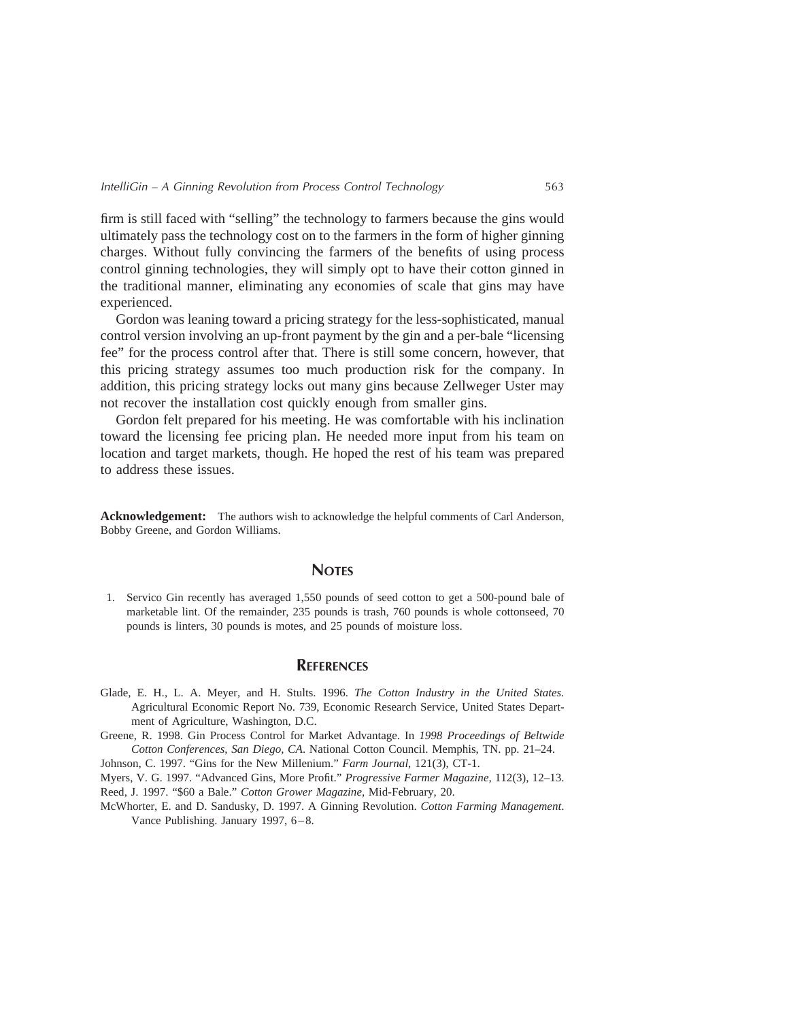firm is still faced with "selling" the technology to farmers because the gins would ultimately pass the technology cost on to the farmers in the form of higher ginning charges. Without fully convincing the farmers of the benefits of using process control ginning technologies, they will simply opt to have their cotton ginned in the traditional manner, eliminating any economies of scale that gins may have experienced.

Gordon was leaning toward a pricing strategy for the less-sophisticated, manual control version involving an up-front payment by the gin and a per-bale "licensing fee" for the process control after that. There is still some concern, however, that this pricing strategy assumes too much production risk for the company. In addition, this pricing strategy locks out many gins because Zellweger Uster may not recover the installation cost quickly enough from smaller gins.

Gordon felt prepared for his meeting. He was comfortable with his inclination toward the licensing fee pricing plan. He needed more input from his team on location and target markets, though. He hoped the rest of his team was prepared to address these issues.

**Acknowledgement:** The authors wish to acknowledge the helpful comments of Carl Anderson, Bobby Greene, and Gordon Williams.

#### **NOTES**

1. Servico Gin recently has averaged 1,550 pounds of seed cotton to get a 500-pound bale of marketable lint. Of the remainder, 235 pounds is trash, 760 pounds is whole cottonseed, 70 pounds is linters, 30 pounds is motes, and 25 pounds of moisture loss.

#### **REFERENCES**

- Glade, E. H., L. A. Meyer, and H. Stults. 1996. *The Cotton Industry in the United States.* Agricultural Economic Report No. 739, Economic Research Service, United States Department of Agriculture, Washington, D.C.
- Greene, R. 1998. Gin Process Control for Market Advantage. In *1998 Proceedings of Beltwide Cotton Conferences, San Diego, CA*. National Cotton Council. Memphis, TN. pp. 21–24.

Johnson, C. 1997. "Gins for the New Millenium." *Farm Journal*, 121(3), CT-1.

Myers, V. G. 1997. "Advanced Gins, More Profit." *Progressive Farmer Magazine,* 112(3), 12–13. Reed, J. 1997. "\$60 a Bale." *Cotton Grower Magazine,* Mid-February, 20.

McWhorter, E. and D. Sandusky, D. 1997. A Ginning Revolution. *Cotton Farming Management*. Vance Publishing. January 1997, 6–8.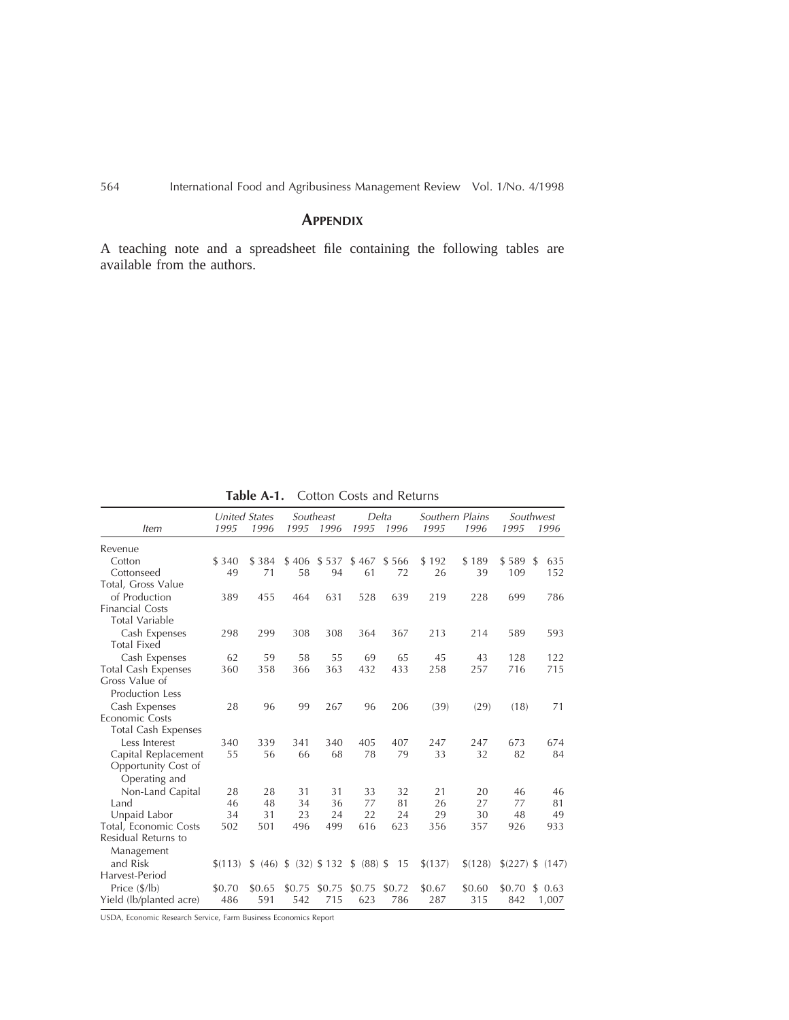# **APPENDIX**

A teaching note and a spreadsheet file containing the following tables are available from the authors.

|                            | <b>United States</b> |        |        | Southeast |                                        | Delta  | Southern Plains |         |        | Southwest        |
|----------------------------|----------------------|--------|--------|-----------|----------------------------------------|--------|-----------------|---------|--------|------------------|
| <i>Item</i>                | 1995                 | 1996   | 1995   | 1996      | 1995                                   | 1996   | 1995            | 1996    | 1995   | 1996             |
| Revenue                    |                      |        |        |           |                                        |        |                 |         |        |                  |
| Cotton                     | \$ 340               | \$384  | \$406  | \$537     | \$467                                  | \$566  | \$192           | \$189   | \$589  | 635<br>-S        |
| Cottonseed                 | 49                   | 71     | 58     | 94        | 61                                     | 72     | 26              | 39      | 109    | 152              |
| Total, Gross Value         |                      |        |        |           |                                        |        |                 |         |        |                  |
| of Production              | 389                  | 455    | 464    | 631       | 528                                    | 639    | 219             | 228     | 699    | 786              |
| <b>Financial Costs</b>     |                      |        |        |           |                                        |        |                 |         |        |                  |
| <b>Total Variable</b>      |                      |        |        |           |                                        |        |                 |         |        |                  |
| Cash Expenses              | 298                  | 299    | 308    | 308       | 364                                    | 367    | 213             | 214     | 589    | 593              |
| <b>Total Fixed</b>         |                      |        |        |           |                                        |        |                 |         |        |                  |
| Cash Expenses              | 62                   | 59     | 58     | 55        | 69                                     | 65     | 45              | 43      | 128    | 122              |
| <b>Total Cash Expenses</b> | 360                  | 358    | 366    | 363       | 432                                    | 433    | 258             | 257     | 716    | 715              |
| Gross Value of             |                      |        |        |           |                                        |        |                 |         |        |                  |
| <b>Production Less</b>     |                      |        |        |           |                                        |        |                 |         |        |                  |
| Cash Expenses              | 28                   | 96     | 99     | 267       | 96                                     | 206    | (39)            | (29)    | (18)   | 71               |
| Economic Costs             |                      |        |        |           |                                        |        |                 |         |        |                  |
| Total Cash Expenses        |                      |        |        |           |                                        |        |                 |         |        |                  |
| Less Interest              | 340                  | 339    | 341    | 340       | 405                                    | 407    | 247             | 247     | 673    | 674              |
| Capital Replacement        | 55                   | 56     | 66     | 68        | 78                                     | 79     | 33              | 32      | 82     | 84               |
| Opportunity Cost of        |                      |        |        |           |                                        |        |                 |         |        |                  |
| Operating and              |                      |        |        |           |                                        |        |                 |         |        |                  |
| Non-Land Capital           | 28                   | 28     | 31     | 31        | 33                                     | 32     | 21              | 20      | 46     | 46               |
| Land                       | 46                   | 48     | 34     | 36        | 77                                     | 81     | 26              | 27      | 77     | 81               |
| Unpaid Labor               | 34                   | 31     | 23     | 24        | 22                                     | 24     | 29              | 30      | 48     | 49               |
| Total, Economic Costs      | 502                  | 501    | 496    | 499       | 616                                    | 623    | 356             | 357     | 926    | 933              |
| Residual Returns to        |                      |        |        |           |                                        |        |                 |         |        |                  |
| Management                 |                      |        |        |           |                                        |        |                 |         |        |                  |
| and Risk                   | \$(113)              |        |        |           | $$$ (46) $$$ (32) $$$ 132 $$$ (88) $$$ | - 15   | \$(137)         | \$(128) |        | \$(227) \$ (147) |
| Harvest-Period             |                      |        |        |           |                                        |        |                 |         |        |                  |
| Price (\$/lb)              | \$0.70               | \$0.65 | \$0.75 | \$0.75    | \$0.75                                 | \$0.72 | \$0.67          | \$0.60  | \$0.70 | \$0.63           |
| Yield (lb/planted acre)    | 486                  | 591    | 542    | 715       | 623                                    | 786    | 287             | 315     | 842    | 1,007            |

Table A-1. Cotton Costs and Returns

USDA, Economic Research Service, Farm Business Economics Report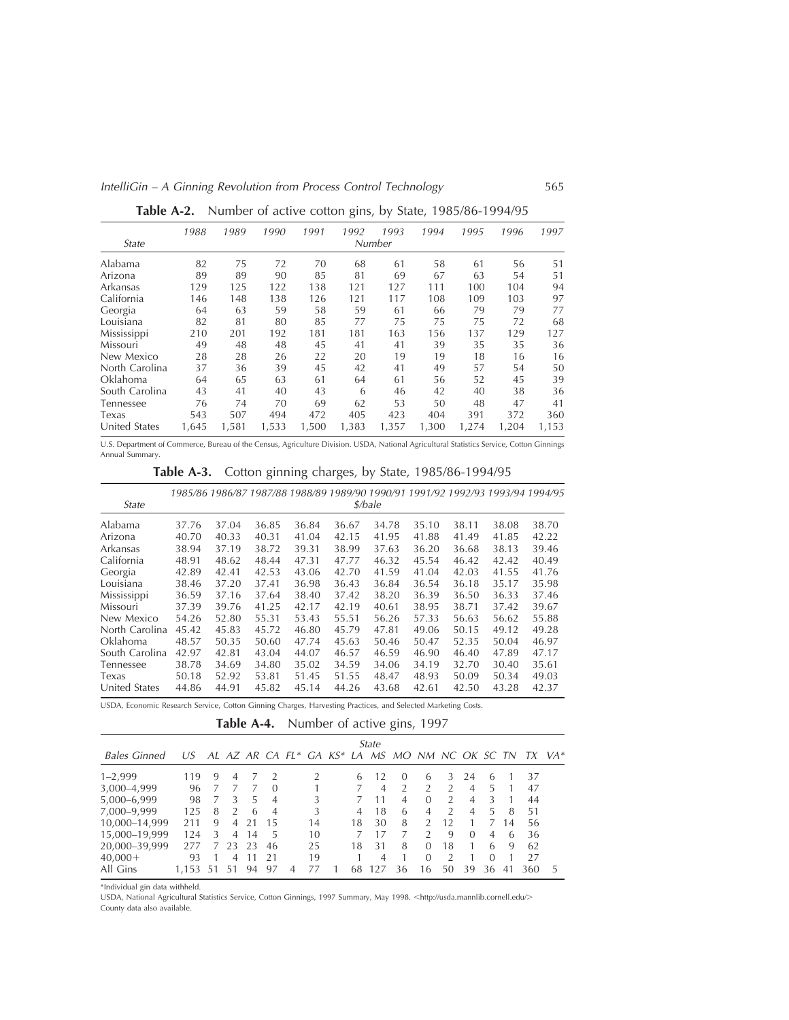|                | 1988  | 1989  | 1990  | 1991  | 1992  | 1993   | 1994  | 1995  | 1996  | 1997  |
|----------------|-------|-------|-------|-------|-------|--------|-------|-------|-------|-------|
| State          |       |       |       |       |       | Number |       |       |       |       |
| Alabama        | 82    | 75    | 72    | 70    | 68    | 61     | 58    | 61    | 56    | 51    |
| Arizona        | 89    | 89    | 90    | 85    | 81    | 69     | 67    | 63    | 54    | 51    |
| Arkansas       | 129   | 125   | 122   | 138   | 121   | 127    | 111   | 100   | 104   | 94    |
| California     | 146   | 148   | 138   | 126   | 121   | 117    | 108   | 109   | 103   | 97    |
| Georgia        | 64    | 63    | 59    | 58    | 59    | 61     | 66    | 79    | 79    | 77    |
| Louisiana      | 82    | 81    | 80    | 85    | 77    | 75     | 75    | 75    | 72    | 68    |
| Mississippi    | 210   | 201   | 192   | 181   | 181   | 163    | 156   | 137   | 129   | 127   |
| Missouri       | 49    | 48    | 48    | 45    | 41    | 41     | 39    | 35    | 35    | 36    |
| New Mexico     | 28    | 28    | 26    | 22    | 20    | 19     | 19    | 18    | 16    | 16    |
| North Carolina | 37    | 36    | 39    | 45    | 42    | 41     | 49    | 57    | 54    | 50    |
| Oklahoma       | 64    | 65    | 63    | 61    | 64    | 61     | 56    | 52    | 45    | 39    |
| South Carolina | 43    | 41    | 40    | 43    | 6     | 46     | 42    | 40    | 38    | 36    |
| Tennessee      | 76    | 74    | 70    | 69    | 62    | 53     | 50    | 48    | 47    | 41    |
| Texas          | 543   | 507   | 494   | 472   | 405   | 423    | 404   | 391   | 372   | 360   |
| United States  | 1,645 | 1,581 | 1,533 | 1,500 | 1,383 | 1,357  | 1,300 | 1,274 | 1,204 | 1,153 |

**Table A-2.** Number of active cotton gins, by State, 1985/86-1994/95

U.S. Department of Commerce, Bureau of the Census, Agriculture Division. USDA, National Agricultural Statistics Service, Cotton Ginnings Annual Summary.

|  | Table A-3. Cotton ginning charges, by State, 1985/86-1994/95 |
|--|--------------------------------------------------------------|
|--|--------------------------------------------------------------|

| State          |       |       | 1985/86 1986/87 1987/88 1988/89 1989/90 1990/91 1991/92 1992/93 1993/94 1994/95 |       |       | \$/bale |       |       |       |       |
|----------------|-------|-------|---------------------------------------------------------------------------------|-------|-------|---------|-------|-------|-------|-------|
|                |       |       |                                                                                 |       |       |         |       |       |       |       |
| Alabama        | 37.76 | 37.04 | 36.85                                                                           | 36.84 | 36.67 | 34.78   | 35.10 | 38.11 | 38.08 | 38.70 |
| Arizona        | 40.70 | 40.33 | 40.31                                                                           | 41.04 | 42.15 | 41.95   | 41.88 | 41.49 | 41.85 | 42.22 |
| Arkansas       | 38.94 | 37.19 | 38.72                                                                           | 39.31 | 38.99 | 37.63   | 36.20 | 36.68 | 38.13 | 39.46 |
| California     | 48.91 | 48.62 | 48.44                                                                           | 47.31 | 47.77 | 46.32   | 45.54 | 46.42 | 42.42 | 40.49 |
| Georgia        | 42.89 | 42.41 | 42.53                                                                           | 43.06 | 42.70 | 41.59   | 41.04 | 42.03 | 41.55 | 41.76 |
| Louisiana      | 38.46 | 37.20 | 37.41                                                                           | 36.98 | 36.43 | 36.84   | 36.54 | 36.18 | 35.17 | 35.98 |
| Mississippi    | 36.59 | 37.16 | 37.64                                                                           | 38.40 | 37.42 | 38.20   | 36.39 | 36.50 | 36.33 | 37.46 |
| Missouri       | 37.39 | 39.76 | 41.25                                                                           | 42.17 | 42.19 | 40.61   | 38.95 | 38.71 | 37.42 | 39.67 |
| New Mexico     | 54.26 | 52.80 | 55.31                                                                           | 53.43 | 55.51 | 56.26   | 57.33 | 56.63 | 56.62 | 55.88 |
| North Carolina | 45.42 | 45.83 | 45.72                                                                           | 46.80 | 45.79 | 47.81   | 49.06 | 50.15 | 49.12 | 49.28 |
| Oklahoma       | 48.57 | 50.35 | 50.60                                                                           | 47.74 | 45.63 | 50.46   | 50.47 | 52.35 | 50.04 | 46.97 |
| South Carolina | 42.97 | 42.81 | 43.04                                                                           | 44.07 | 46.57 | 46.59   | 46.90 | 46.40 | 47.89 | 47.17 |
| Tennessee      | 38.78 | 34.69 | 34.80                                                                           | 35.02 | 34.59 | 34.06   | 34.19 | 32.70 | 30.40 | 35.61 |
| Texas          | 50.18 | 52.92 | 53.81                                                                           | 51.45 | 51.55 | 48.47   | 48.93 | 50.09 | 50.34 | 49.03 |
| United States  | 44.86 | 44.91 | 45.82                                                                           | 45.14 | 44.26 | 43.68   | 42.61 | 42.50 | 43.28 | 42.37 |

USDA, Economic Research Service, Cotton Ginning Charges, Harvesting Practices, and Selected Marketing Costs.

Table A-4. Number of active gins, 1997

|                     |       |    |               |    |                |                |    |    | State |                                                |               |               |                |                |    |     |       |
|---------------------|-------|----|---------------|----|----------------|----------------|----|----|-------|------------------------------------------------|---------------|---------------|----------------|----------------|----|-----|-------|
| <b>Bales Ginned</b> | U.S   |    |               |    |                |                |    |    |       | AL AZ AR CA FL* GA KS* LA MS MO NM NC OK SC TN |               |               |                |                |    | TX. | $VA*$ |
| $1 - 2,999$         | 119   | 9  | 4             |    | $\mathcal{L}$  |                |    | 6  | 12    | $\left( \right)$                               | $\mathbf{b}$  | 3             | 24             | $\mathfrak{b}$ |    | 37  |       |
| 3,000-4,999         | 96    |    |               |    | $\Omega$       |                |    |    | 4     |                                                | $\mathcal{P}$ | $\mathcal{D}$ | $\overline{4}$ | 5              |    | 47  |       |
| 5,000-6,999         | 98    |    | 3             | 5  | $\overline{4}$ |                | 3  |    |       | 4                                              | $\Omega$      | $\mathcal{P}$ | $\overline{4}$ | 3              |    | 44  |       |
| 7,000-9,999         | 125   | 8  | $\mathcal{P}$ | 6  | $\overline{4}$ |                | 3  | 4  | 18    | 6                                              | 4             | $\mathcal{D}$ | $\overline{4}$ | 5              | 8  | 51  |       |
| 10,000-14,999       | 211   | 9  | 4             | 21 | 15             |                | 14 | 18 | 30    | 8                                              | $\mathcal{P}$ | 12            |                |                | 14 | 56  |       |
| 15,000-19,999       | 124   | 3  | 4             | 14 | 5              |                | 10 |    |       |                                                | $\mathcal{D}$ | 9             | $\Omega$       | $\overline{4}$ | 6  | 36  |       |
| 20,000-39,999       | 277   |    | 23            | 23 | 46             |                | 25 | 18 | 31    | 8                                              | $\Omega$      | 18            |                | 6              | 9  | 62  |       |
| $40,000+$           | 93    |    | 4             | 11 | 21             |                | 19 |    | 4     |                                                | $\Omega$      | $\mathcal{D}$ |                | $\Omega$       |    | 27  |       |
| All Gins            | 1.153 | 51 |               | 94 | 97             | $\overline{A}$ |    | 68 | 127   | 36                                             | 16            | 50            | 39             | 36             | 41 | 360 | 5     |
|                     |       |    |               |    |                |                |    |    |       |                                                |               |               |                |                |    |     |       |

\*Individual gin data withheld.

USDA, National Agricultural Statistics Service, Cotton Ginnings, 1997 Summary, May 1998. <http://usda.mannlib.cornell.edu/> County data also available.